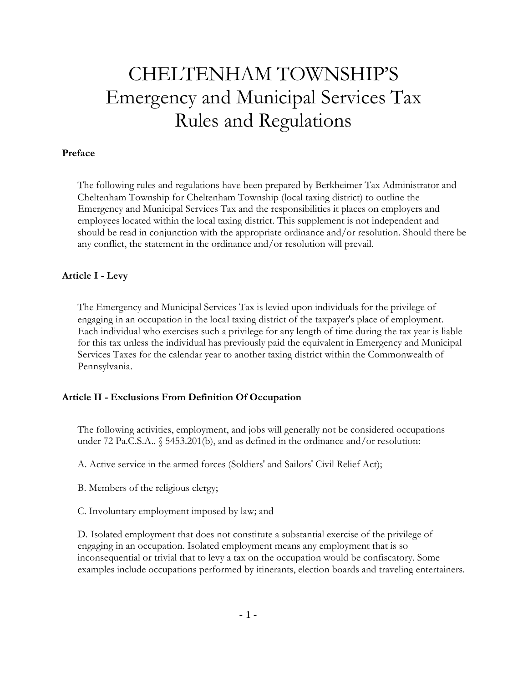# CHELTENHAM TOWNSHIP'S Emergency and Municipal Services Tax Rules and Regulations

#### **Preface**

The following rules and regulations have been prepared by Berkheimer Tax Administrator and Cheltenham Township for Cheltenham Township (local taxing district) to outline the Emergency and Municipal Services Tax and the responsibilities it places on employers and employees located within the local taxing district. This supplement is not independent and should be read in conjunction with the appropriate ordinance and/or resolution. Should there be any conflict, the statement in the ordinance and/or resolution will prevail.

#### **Article I - Levy**

The Emergency and Municipal Services Tax is levied upon individuals for the privilege of engaging in an occupation in the local taxing district of the taxpayer's place of employment. Each individual who exercises such a privilege for any length of time during the tax year is liable for this tax unless the individual has previously paid the equivalent in Emergency and Municipal Services Taxes for the calendar year to another taxing district within the Commonwealth of Pennsylvania.

#### **Article II - Exclusions From Definition Of Occupation**

The following activities, employment, and jobs will generally not be considered occupations under 72 Pa.C.S.A.. § 5453.201(b), and as defined in the ordinance and/or resolution:

A. Active service in the armed forces (Soldiers' and Sailors' Civil Relief Act);

- B. Members of the religious clergy;
- C. Involuntary employment imposed by law; and

D. Isolated employment that does not constitute a substantial exercise of the privilege of engaging in an occupation. Isolated employment means any employment that is so inconsequential or trivial that to levy a tax on the occupation would be confiscatory. Some examples include occupations performed by itinerants, election boards and traveling entertainers.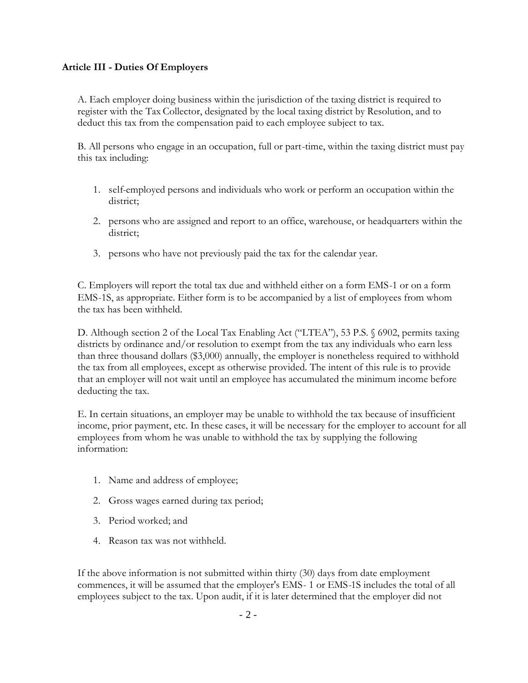#### **Article III - Duties Of Employers**

A. Each employer doing business within the jurisdiction of the taxing district is required to register with the Tax Collector, designated by the local taxing district by Resolution, and to deduct this tax from the compensation paid to each employee subject to tax.

B. All persons who engage in an occupation, full or part-time, within the taxing district must pay this tax including:

- 1. self-employed persons and individuals who work or perform an occupation within the district;
- 2. persons who are assigned and report to an office, warehouse, or headquarters within the district;
- 3. persons who have not previously paid the tax for the calendar year.

C. Employers will report the total tax due and withheld either on a form EMS-1 or on a form EMS-1S, as appropriate. Either form is to be accompanied by a list of employees from whom the tax has been withheld.

D. Although section 2 of the Local Tax Enabling Act ("LTEA"), 53 P.S. § 6902, permits taxing districts by ordinance and/or resolution to exempt from the tax any individuals who earn less than three thousand dollars (\$3,000) annually, the employer is nonetheless required to withhold the tax from all employees, except as otherwise provided. The intent of this rule is to provide that an employer will not wait until an employee has accumulated the minimum income before deducting the tax.

E. In certain situations, an employer may be unable to withhold the tax because of insufficient income, prior payment, etc. In these cases, it will be necessary for the employer to account for all employees from whom he was unable to withhold the tax by supplying the following information:

- 1. Name and address of employee;
- 2. Gross wages earned during tax period;
- 3. Period worked; and
- 4. Reason tax was not withheld.

If the above information is not submitted within thirty (30) days from date employment commences, it will be assumed that the employer's EMS- 1 or EMS-1S includes the total of all employees subject to the tax. Upon audit, if it is later determined that the employer did not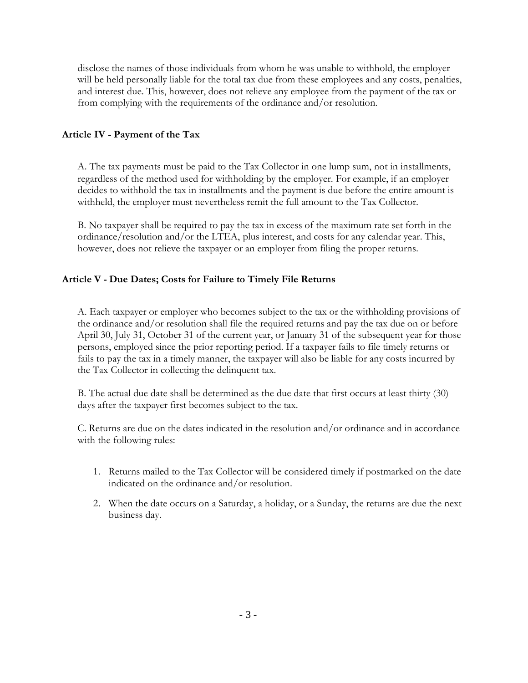disclose the names of those individuals from whom he was unable to withhold, the employer will be held personally liable for the total tax due from these employees and any costs, penalties, and interest due. This, however, does not relieve any employee from the payment of the tax or from complying with the requirements of the ordinance and/or resolution.

## **Article IV - Payment of the Tax**

A. The tax payments must be paid to the Tax Collector in one lump sum, not in installments, regardless of the method used for withholding by the employer. For example, if an employer decides to withhold the tax in installments and the payment is due before the entire amount is withheld, the employer must nevertheless remit the full amount to the Tax Collector.

B. No taxpayer shall be required to pay the tax in excess of the maximum rate set forth in the ordinance/resolution and/or the LTEA, plus interest, and costs for any calendar year. This, however, does not relieve the taxpayer or an employer from filing the proper returns.

## **Article V - Due Dates; Costs for Failure to Timely File Returns**

A. Each taxpayer or employer who becomes subject to the tax or the withholding provisions of the ordinance and/or resolution shall file the required returns and pay the tax due on or before April 30, July 31, October 31 of the current year, or January 31 of the subsequent year for those persons, employed since the prior reporting period. If a taxpayer fails to file timely returns or fails to pay the tax in a timely manner, the taxpayer will also be liable for any costs incurred by the Tax Collector in collecting the delinquent tax.

B. The actual due date shall be determined as the due date that first occurs at least thirty (30) days after the taxpayer first becomes subject to the tax.

C. Returns are due on the dates indicated in the resolution and/or ordinance and in accordance with the following rules:

- 1. Returns mailed to the Tax Collector will be considered timely if postmarked on the date indicated on the ordinance and/or resolution.
- 2. When the date occurs on a Saturday, a holiday, or a Sunday, the returns are due the next business day.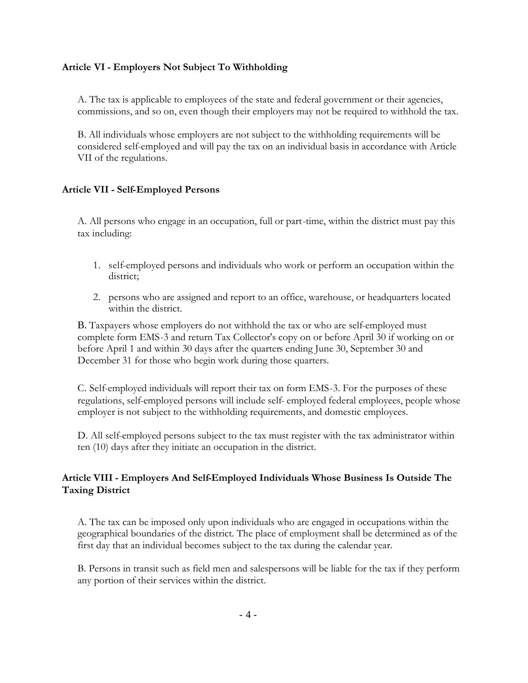#### **Article VI - Employers Not Subject To Withholding**

A. The tax is applicable to employees of the state and federal government or their agencies, commissions, and so on, even though their employers may not be required to withhold the tax.

B. All individuals whose employers are not subject to the withholding requirements will be considered self-employed and will pay the tax on an individual basis in accordance with Article VII of the regulations.

#### **Article VII - Self-Employed Persons**

A. All persons who engage in an occupation, full or part-time, within the district must pay this tax including:

- 1. self-employed persons and individuals who work or perform an occupation within the district;
- 2. persons who are assigned and report to an office, warehouse, or headquarters located within the district.

B. Taxpayers whose employers do not withhold the tax or who are self-employed must complete form EMS-3 and return Tax Collector's copy on or before April 30 if working on or before April 1 and within 30 days after the quarters ending June 30, September 30 and December 31 for those who begin work during those quarters.

C. Self-employed individuals will report their tax on form EMS-3. For the purposes of these regulations, self-employed persons will include self- employed federal employees, people whose employer is not subject to the withholding requirements, and domestic employees.

D. All self-employed persons subject to the tax must register with the tax administrator within ten (10) days after they initiate an occupation in the district.

## **Article VIII - Employers And Self-Employed Individuals Whose Business Is Outside The Taxing District**

A. The tax can be imposed only upon individuals who are engaged in occupations within the geographical boundaries of the district. The place of employment shall be determined as of the first day that an individual becomes subject to the tax during the calendar year.

B. Persons in transit such as field men and salespersons will be liable for the tax if they perform any portion of their services within the district.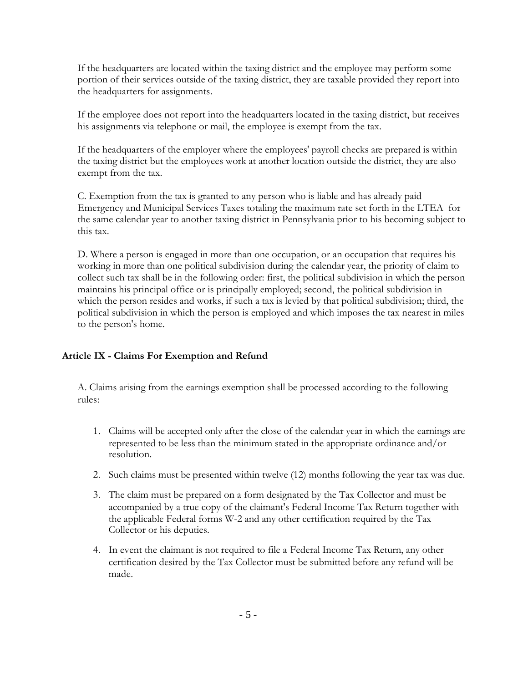If the headquarters are located within the taxing district and the employee may perform some portion of their services outside of the taxing district, they are taxable provided they report into the headquarters for assignments.

If the employee does not report into the headquarters located in the taxing district, but receives his assignments via telephone or mail, the employee is exempt from the tax.

If the headquarters of the employer where the employees' payroll checks are prepared is within the taxing district but the employees work at another location outside the district, they are also exempt from the tax.

C. Exemption from the tax is granted to any person who is liable and has already paid Emergency and Municipal Services Taxes totaling the maximum rate set forth in the LTEA for the same calendar year to another taxing district in Pennsylvania prior to his becoming subject to this tax.

D. Where a person is engaged in more than one occupation, or an occupation that requires his working in more than one political subdivision during the calendar year, the priority of claim to collect such tax shall be in the following order: first, the political subdivision in which the person maintains his principal office or is principally employed; second, the political subdivision in which the person resides and works, if such a tax is levied by that political subdivision; third, the political subdivision in which the person is employed and which imposes the tax nearest in miles to the person's home.

# **Article IX - Claims For Exemption and Refund**

A. Claims arising from the earnings exemption shall be processed according to the following rules:

- 1. Claims will be accepted only after the close of the calendar year in which the earnings are represented to be less than the minimum stated in the appropriate ordinance and/or resolution.
- 2. Such claims must be presented within twelve (12) months following the year tax was due.
- 3. The claim must be prepared on a form designated by the Tax Collector and must be accompanied by a true copy of the claimant's Federal Income Tax Return together with the applicable Federal forms W-2 and any other certification required by the Tax Collector or his deputies.
- 4. In event the claimant is not required to file a Federal Income Tax Return, any other certification desired by the Tax Collector must be submitted before any refund will be made.